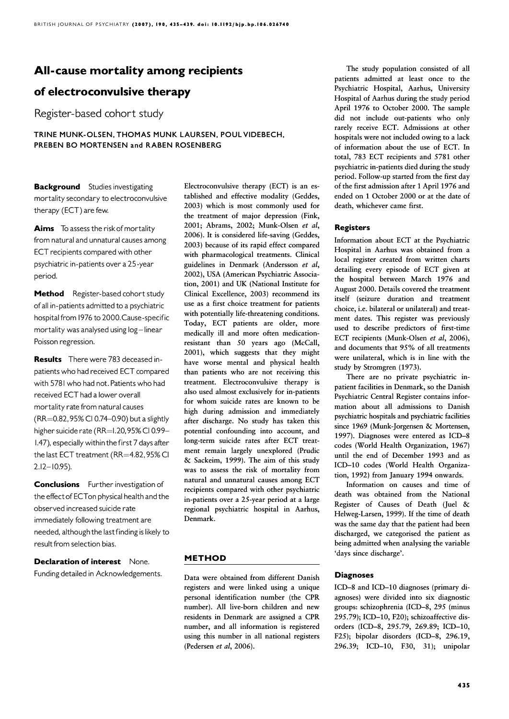# All-cause mortality among recipients

# of electroconvulsive therapy

Register-based cohort study

TRINE MUNK-OLSEN, THOMAS MUNK LAURSEN, POUL VIDEBECH, PREBEN BO MORTENSEN and RABEN ROSENBERG

**Background** Studies investigating mortality secondary to electroconvulsive therapy (ECT) are few.

Aims To assess the risk of mortality from natural and unnatural causes among ECT recipients compared with other psychiatric in-patients over a 25-year period.

Method Register-based cohort study of allin-patients admitted to a psychiatric hospital from 1976 to 2000.Cause-specific mortality was analysed using  $log$  – linear Poisson regression.

Results There were 783 deceased inpatients who had received ECT compared with 5781 who had not. Patients who had received ECT had a lower overall mortality rate from natural causes  $(RR = 0.82, 95\% \text{ CI } 0.74 - 0.90)$  but a slightly higher suicide rate (RR= $1.20,95\%$  CI 0.99 $-$ 1.47), especially withinthefirst 7 days after the last ECT treatment  $(RR=4.82.95\%$  CI  $2.12 - 10.95$ ).

**Conclusions** Further investigation of the effect of ECTon physical health and the observedincreased suicide rate immediately following treatment are needed, although the last finding is likely to result from selection bias.

**Declaration of interest** None. Funding detailed in Acknowledgements.

Electroconvulsive therapy (ECT) is an established and effective modality (Geddes, 2003) which is most commonly used for the treatment of major depression (Fink, 2001; Abrams, 2002; Munk-Olsen et al, 2006). It is considered life-saving (Geddes, 2003) because of its rapid effect compared with pharmacological treatments. Clinical guidelines in Denmark (Andersson et al, 2002), USA (American Psychiatric Association, 2001) and UK (National Institute for Clinical Excellence, 2003) recommend its use as a first choice treatment for patients with potentially life-threatening conditions. Today, ECT patients are older, more medically ill and more often medicationresistant than 50 years ago (McCall, 2001), which suggests that they might have worse mental and physical health than patients who are not receiving this treatment. Electroconvulsive therapy is also used almost exclusively for in-patients for whom suicide rates are known to be high during admission and immediately after discharge. No study has taken this potential confounding into account, and long-term suicide rates after ECT treatment remain largely unexplored (Prudic & Sackeim, 1999). The aim of this study was to assess the risk of mortality from natural and unnatural causes among ECT recipients compared with other psychiatric in-patients over a 25-year period at a large regional psychiatric hospital in Aarhus, Denmark.

## METHOD

Data were obtained from different Danish registers and were linked using a unique personal identification number (the CPR number). All live-born children and new residents in Denmark are assigned a CPR number, and all information is registered using this number in all national registers (Pedersen et al, 2006).

The study population consisted of all patients admitted at least once to the Psychiatric Hospital, Aarhus, University Hospital of Aarhus during the study period April 1976 to October 2000. The sample did not include out-patients who only rarely receive ECT. Admissions at other hospitals were not included owing to a lack of information about the use of ECT. In total, 783 ECT recipients and 5781 other psychiatric in-patients died during the study period. Follow-up started from the first day of the first admission after 1 April 1976 and ended on 1 October 2000 or at the date of death, whichever came first.

## **Registers**

Information about ECT at the Psychiatric Hospital in Aarhus was obtained from a local register created from written charts detailing every episode of ECT given at the hospital between March 1976 and August 2000. Details covered the treatment itself (seizure duration and treatment choice, i.e. bilateral or unilateral) and treatment dates. This register was previously used to describe predictors of first-time ECT recipients (Munk-Olsen et al, 2006), and documents that 95% of all treatments were unilateral, which is in line with the study by Stromgren (1973).

There are no private psychiatric inpatient facilities in Denmark, so the Danish Psychiatric Central Register contains information about all admissions to Danish psychiatric hospitals and psychiatric facilities since 1969 (Munk-Jorgensen & Mortensen, 1997). Diagnoses were entered as ICD–8 codes (World Health Organization, 1967) until the end of December 1993 and as ICD–10 codes (World Health Organization, 1992) from January 1994 onwards.

Information on causes and time of death was obtained from the National Register of Causes of Death (Juel & Helweg-Larsen, 1999). If the time of death was the same day that the patient had been discharged, we categorised the patient as being admitted when analysing the variable 'days since discharge'.

## **Diagnoses**

ICD–8 and ICD–10 diagnoses (primary diagnoses) were divided into six diagnostic groups: schizophrenia (ICD–8, 295 (minus 295.79); ICD–10, F20); schizoaffective disorders (ICD–8, 295.79, 269.89; ICD–10, F25); bipolar disorders (ICD–8, 296.19, 296.39; ICD–10, F30, 31); unipolar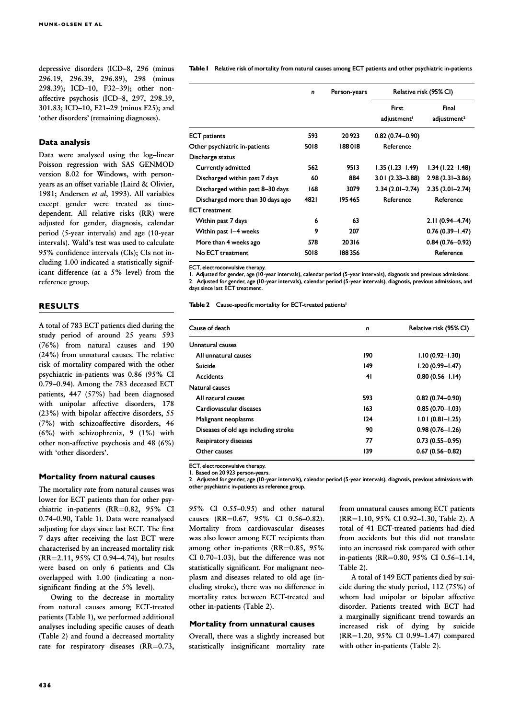depressive disorders (ICD–8, 296 (minus 296.19, 296.39, 296.89), 298 (minus 298.39); ICD–10, F32–39); other nonaffective psychosis (ICD–8, 297, 298.39, 301.83; ICD–10, F21–29 (minus F25); and 'other disorders' (remaining diagnoses).

## Data analysis

Data were analysed using the log–linear Poisson regression with SAS GENMOD version 8.02 for Windows, with personyears as an offset variable (Laird & Olivier, 1981; Andersen et al, 1993). All variables except gender were treated as timedependent. All relative risks (RR) were adjusted for gender, diagnosis, calendar period (5-year intervals) and age (10-year intervals). Wald's test was used to calculate 95% confidence intervals (CIs); CIs not including 1.00 indicated a statistically significant difference (at a 5% level) from the reference group.

### RESULTS

A total of 783 ECT patients died during the study period of around 25 years: 593 (76%) from natural causes and 190 (24%) from unnatural causes. The relative risk of mortality compared with the other psychiatric in-patients was 0.86 (95% CI 0.79–0.94). Among the 783 deceased ECT patients, 447 (57%) had been diagnosed with unipolar affective disorders, 178 (23%) with bipolar affective disorders, 55 (7%) with schizoaffective disorders, 46 (6%) with schizophrenia, 9 (1%) with other non-affective psychosis and 48 (6%) with 'other disorders'.

### Mortality from natural causes

The mortality rate from natural causes was lower for ECT patients than for other psychiatric in-patients (RR=0.82, 95% CI 0.74–0.90, Table 1). Data were reanalysed adjusting for days since last ECT. The first 7 days after receiving the last ECT were characterised by an increased mortality risk (RR=2.11, 95% CI 0.94-4.74), but results were based on only 6 patients and CIs overlapped with 1.00 (indicating a nonsignificant finding at the 5% level).

Owing to the decrease in mortality from natural causes among ECT-treated patients (Table 1), we performed additional analyses including specific causes of death (Table 2) and found a decreased mortality rate for respiratory diseases  $(RR=0.73,$ 

Table 1 Relative risk of mortality from natural causes among ECT patients and other psychiatric in-patients

|                                  | n    | Person-years | Relative risk (95% CI)                  |                                  |  |
|----------------------------------|------|--------------|-----------------------------------------|----------------------------------|--|
|                                  |      |              | <b>First</b><br>adjustment <sup>1</sup> | Final<br>adjustment <sup>2</sup> |  |
| <b>ECT</b> patients              | 593  | 20923        | $0.82(0.74 - 0.90)$                     |                                  |  |
| Other psychiatric in-patients    | 5018 | 188018       | Reference                               |                                  |  |
| Discharge status                 |      |              |                                         |                                  |  |
| <b>Currently admitted</b>        | 562  | 9513         | $1.35(1.23 - 1.49)$                     | $1.34(1.22 - 1.48)$              |  |
| Discharged within past 7 days    | 60   | 884          | $3.01(2.33 - 3.88)$                     | $2.98(2.31 - 3.86)$              |  |
| Discharged within past 8-30 days | 168  | 3079         | $2.34(2.01 - 2.74)$                     | $2.35(2.01 - 2.74)$              |  |
| Discharged more than 30 days ago | 4821 | 195465       | Reference                               | Reference                        |  |
| <b>FCT</b> treatment             |      |              |                                         |                                  |  |
| Within past 7 days               | 6    | 63           |                                         | $2.11(0.94 - 4.74)$              |  |
| Within past I-4 weeks            | 9    | 207          |                                         | $0.76(0.39 - 1.47)$              |  |
| More than 4 weeks ago            | 578  | 20316        |                                         | $0.84(0.76 - 0.92)$              |  |
| No ECT treatment                 | 5018 | 188356       |                                         | Reference                        |  |

ECT, electroconvulsive therapy.

1. Adjusted for gender, age (10-year intervals), calendar period (5-year intervals), diagnosis and previous admissions. 2. Adjusted for gender, age (10-year intervals), calendar period (5-year intervals), diagnosis, previous admissions, and days since last ECT treatment.

|  | Table 2 Cause-specific mortality for ECT-treated patients' |  |  |  |
|--|------------------------------------------------------------|--|--|--|
|--|------------------------------------------------------------|--|--|--|

| Cause of death                       | n   | Relative risk (95% CI) |
|--------------------------------------|-----|------------------------|
| Unnatural causes                     |     |                        |
| All unnatural causes                 | 190 | $1.10(0.92 - 1.30)$    |
| Suicide                              | 149 | $1.20(0.99 - 1.47)$    |
| <b>Accidents</b>                     | 41  | $0.80(0.56 - 1.14)$    |
| Natural causes                       |     |                        |
| All natural causes                   | 593 | $0.82(0.74 - 0.90)$    |
| Cardiovascular diseases              | 163 | $0.85(0.70 - 1.03)$    |
| Malignant neoplasms                  | 124 | $1.01(0.81 - 1.25)$    |
| Diseases of old age including stroke | 90  | $0.98(0.76 - 1.26)$    |
| Respiratory diseases                 | 77  | $0.73(0.55 - 0.95)$    |
| Other causes                         | 139 | $0.67(0.56 - 0.82)$    |

ECT, electroconvulsive therapy.

1. Based on 20 923 person-years.

2. Adjusted for gender, age (10-year intervals), calendar period (5-year intervals), diagnosis, previous admissions with other psychiatric in-patients as reference group.

95% CI 0.55–0.95) and other natural causes (RR=0.67, 95% CI 0.56–0.82). Mortality from cardiovascular diseases was also lower among ECT recipients than among other in-patients (RR $=0.85$ , 95% CI 0.70–1.03), but the difference was not statistically significant. For malignant neoplasm and diseases related to old age (including stroke), there was no difference in mortality rates between ECT-treated and other in-patients (Table 2).

#### Mortality from unnatural causes

Overall, there was a slightly increased but statistically insignificant mortality rate from unnatural causes among ECT patients (RR=1.10, 95% CI 0.92-1.30, Table 2). A total of 41 ECT-treated patients had died from accidents but this did not translate into an increased risk compared with other in-patients (RR=0.80, 95% CI 0.56-1.14, Table 2).

A total of 149 ECT patients died by suicide during the study period,  $112$  (75%) of whom had unipolar or bipolar affective disorder. Patients treated with ECT had a marginally significant trend towards an increased risk of dying by suicide (RR=1.20, 95% CI 0.99-1.47) compared with other in-patients (Table 2).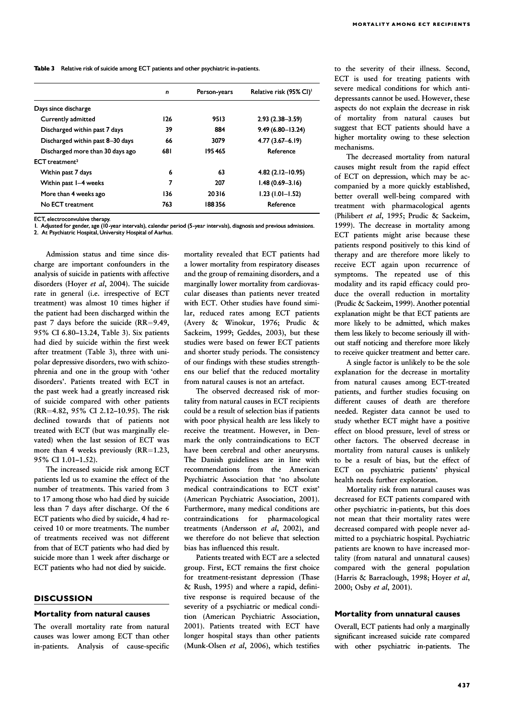Table 3 Relative risk of suicide among ECT patients and other psychiatric in-patients.

|                                  | n   | Person-years | Relative risk (95% CI) <sup>1</sup> |
|----------------------------------|-----|--------------|-------------------------------------|
| Days since discharge             |     |              |                                     |
| Currently admitted               | 126 | 9513         | $2.93(2.38 - 3.59)$                 |
| Discharged within past 7 days    | 39  | 884          | $9.49(6.80 - 13.24)$                |
| Discharged within past 8-30 days | 66  | 3079         | $4.77(3.67 - 6.19)$                 |
| Discharged more than 30 days ago | 681 | 195465       | Reference                           |
| FCT treatment <sup>2</sup>       |     |              |                                     |
| Within past 7 days               | 6   | 63           | $4.82(2.12 - 10.95)$                |
| Within past 1-4 weeks            | 7   | 207          | $1.48(0.69 - 3.16)$                 |
| More than 4 weeks ago            | 136 | 20316        | $1.23(1.01 - 1.52)$                 |
| No ECT treatment                 | 763 | 188 356      | Reference                           |

ECT, electroconvulsive therapy.

1. Adjusted for gender, age (10 -year intervals), calendar period (5-year intervals), diagnosis and previous admissions.

2. At Psychiatric Hospital, University Hospital of Aarhus.

Admission status and time since discharge are important confounders in the analysis of suicide in patients with affective disorders (Hoyer et al, 2004). The suicide rate in general (i.e. irrespective of ECT treatment) was almost 10 times higher if the patient had been discharged within the past 7 days before the suicide  $(RR=9.49,$ 95% CI 6.80–13.24, Table 3). Six patients had died by suicide within the first week after treatment (Table 3), three with unipolar depressive disorders, two with schizophrenia and one in the group with 'other disorders'. Patients treated with ECT in the past week had a greatly increased risk of suicide compared with other patients (RR=4.82, 95% CI 2.12-10.95). The risk declined towards that of patients not treated with ECT (but was marginally elevated) when the last session of ECT was more than 4 weeks previously  $(RR=1.23,$ 95% CI 1.01–1.52).

The increased suicide risk among ECT patients led us to examine the effect of the number of treatments. This varied from 3 to 17 among those who had died by suicide less than 7 days after discharge. Of the 6 ECT patients who died by suicide, 4 had received 10 or more treatments. The number of treatments received was not different from that of ECT patients who had died by suicide more than 1 week after discharge or ECT patients who had not died by suicide.

#### **DISCUSSION**

## Mortality from natural causes

The overall mortality rate from natural causes was lower among ECT than other in-patients. Analysis of cause-specific mortality revealed that ECT patients had a lower mortality from respiratory diseases and the group of remaining disorders, and a marginally lower mortality from cardiovascular diseases than patients never treated with ECT. Other studies have found similar, reduced rates among ECT patients (Avery & Winokur, 1976; Prudic & Sackeim, 1999; Geddes, 2003), but these studies were based on fewer ECT patients and shorter study periods. The consistency of our findings with these studies strengthens our belief that the reduced mortality from natural causes is not an artefact.

The observed decreased risk of mortality from natural causes in ECT recipients could be a result of selection bias if patients with poor physical health are less likely to receive the treatment. However, in Denmark the only contraindications to ECT have been cerebral and other aneurysms. The Danish guidelines are in line with recommendations from the American Psychiatric Association that 'no absolute medical contraindications to ECT exist' (American Psychiatric Association, 2001). Furthermore, many medical conditions are contraindications for pharmacological treatments (Andersson et al, 2002), and we therefore do not believe that selection bias has influenced this result.

Patients treated with ECT are a selected group. First, ECT remains the first choice for treatment-resistant depression (Thase & Rush, 1995) and where a rapid, definitive response is required because of the severity of a psychiatric or medical condition (American Psychiatric Association, 2001). Patients treated with ECT have longer hospital stays than other patients (Munk-Olsen et al, 2006), which testifies

to the severity of their illness. Second, ECT is used for treating patients with severe medical conditions for which antidepressants cannot be used. However, these aspects do not explain the decrease in risk of mortality from natural causes but suggest that ECT patients should have a higher mortality owing to these selection mechanisms.

The decreased mortality from natural causes might result from the rapid effect of ECT on depression, which may be accompanied by a more quickly established, better overall well-being compared with treatment with pharmacological agents (Philibert et al, 1995; Prudic & Sackeim, 1999). The decrease in mortality among ECT patients might arise because these patients respond positively to this kind of therapy and are therefore more likely to receive ECT again upon recurrence of symptoms. The repeated use of this modality and its rapid efficacy could produce the overall reduction in mortality (Prudic & Sackeim, 1999). Another potential explanation might be that ECT patients are more likely to be admitted, which makes them less likely to become seriously ill without staff noticing and therefore more likely to receive quicker treatment and better care.

A single factor is unlikely to be the sole explanation for the decrease in mortality from natural causes among ECT-treated patients, and further studies focusing on different causes of death are therefore needed. Register data cannot be used to study whether ECT might have a positive effect on blood pressure, level of stress or other factors. The observed decrease in mortality from natural causes is unlikely to be a result of bias, but the effect of ECT on psychiatric patients' physical health needs further exploration.

Mortality risk from natural causes was decreased for ECT patients compared with other psychiatric in-patients, but this does not mean that their mortality rates were decreased compared with people never admitted to a psychiatric hospital. Psychiatric patients are known to have increased mortality (from natural and unnatural causes) compared with the general population (Harris & Barraclough, 1998; Hoyer et al, 2000; Osby et al, 2001).

## Mortality from unnatural causes

Overall, ECT patients had only a marginally significant increased suicide rate compared with other psychiatric in-patients. The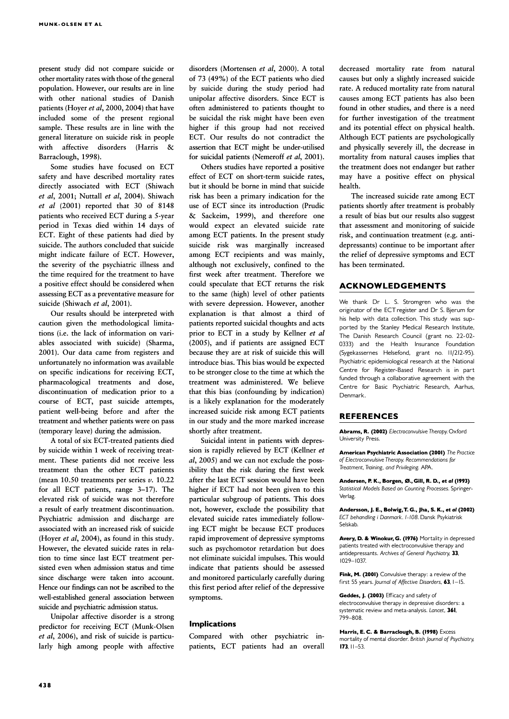present study did not compare suicide or other mortality rates with those of the general population. However, our results are in line with other national studies of Danish patients (Hoyer et al, 2000, 2004) that have included some of the present regional sample. These results are in line with the general literature on suicide risk in people with affective disorders (Harris & Barraclough, 1998).

Some studies have focused on ECT safety and have described mortality rates directly associated with ECT (Shiwach et al, 2001; Nuttall et al, 2004). Shiwach et al (2001) reported that 30 of 8148 patients who received ECT during a 5-year period in Texas died within 14 days of ECT. Eight of these patients had died by suicide. The authors concluded that suicide might indicate failure of ECT. However, the severity of the psychiatric illness and the time required for the treatment to have a positive effect should be considered when assessing ECT as a preventative measure for suicide (Shiwach et al, 2001).

Our results should be interpreted with caution given the methodological limitations (i.e. the lack of information on variables associated with suicide) (Sharma, 2001). Our data came from registers and unfortunately no information was available on specific indications for receiving ECT, pharmacological treatments and dose, discontinuation of medication prior to a course of ECT, past suicide attempts, patient well-being before and after the treatment and whether patients were on pass (temporary leave) during the admission.

A total of six ECT-treated patients died by suicide within 1 week of receiving treatment. These patients did not receive less treatment than the other ECT patients (mean  $10.50$  treatments per series  $\nu$ .  $10.22$ for all ECT patients, range 3–17). The elevated risk of suicide was not therefore a result of early treatment discontinuation. Psychiatric admission and discharge are associated with an increased risk of suicide (Hoyer et al, 2004), as found in this study. However, the elevated suicide rates in relation to time since last ECT treatment persisted even when admission status and time since discharge were taken into account. Hence our findings can not be ascribed to the well-established general association between suicide and psychiatric admission status.

Unipolar affective disorder is a strong predictor for receiving ECT (Munk-Olsen et al, 2006), and risk of suicide is particularly high among people with affective

disorders (Mortensen et al, 2000). A total of 73 (49%) of the ECT patients who died by suicide during the study period had unipolar affective disorders. Since ECT is often administered to patients thought to be suicidal the risk might have been even higher if this group had not received ECT. Our results do not contradict the assertion that ECT might be under-utilised for suicidal patients (Nemeroff et al, 2001).

Others studies have reported a positive effect of ECT on short-term suicide rates, but it should be borne in mind that suicide risk has been a primary indication for the use of ECT since its introduction (Prudic & Sackeim, 1999), and therefore one would expect an elevated suicide rate among ECT patients. In the present study suicide risk was marginally increased among ECT recipients and was mainly, although not exclusively, confined to the first week after treatment. Therefore we could speculate that ECT returns the risk to the same (high) level of other patients with severe depression. However, another explanation is that almost a third of patients reported suicidal thoughts and acts prior to ECT in a study by Kellner et al (2005), and if patients are assigned ECT because they are at risk of suicide this will introduce bias. This bias would be expected to be stronger close to the time at which the treatment was administered. We believe that this bias (confounding by indication) is a likely explanation for the moderately increased suicide risk among ECT patients in our study and the more marked increase shortly after treatment.

Suicidal intent in patients with depression is rapidly relieved by ECT (Kellner et al, 2005) and we can not exclude the possibility that the risk during the first week after the last ECT session would have been higher if ECT had not been given to this particular subgroup of patients. This does not, however, exclude the possibility that elevated suicide rates immediately following ECT might be because ECT produces rapid improvement of depressive symptoms such as psychomotor retardation but does not eliminate suicidal impulses. This would indicate that patients should be assessed and monitored particularly carefully during this first period after relief of the depressive symptoms.

#### Implications

Compared with other psychiatric inpatients, ECT patients had an overall decreased mortality rate from natural causes but only a slightly increased suicide rate. A reduced mortality rate from natural causes among ECT patients has also been found in other studies, and there is a need for further investigation of the treatment and its potential effect on physical health. Although ECT patients are psychologically and physically severely ill, the decrease in mortality from natural causes implies that the treatment does not endanger but rather may have a positive effect on physical health.

The increased suicide rate among ECT patients shortly after treatment is probably a result of bias but our results also suggest that assessment and monitoring of suicide risk, and continuation treatment (e.g. antidepressants) continue to be important after the relief of depressive symptoms and ECT has been terminated.

## ACKNOWLEDGEMENTS

We thank Dr L. S. Stromgren who was the originator of the ECT register and Dr S. Bjerum for his help with data collection. This study was supported by the Stanley Medical Research Institute, The Danish Research Council (grant no. 22-02-0333) and the Health Insurance Foundation (Sygekassernes Helsefond, grant no. 11/212-95). Psychiatric epidemiological research at the National Centre for Register-Based Research is in part funded through a collaborative agreement with the Centre for Basic Psychiatric Research, Aarhus, Denmark.

## REFERENCES

Abrams, R. (2002) Electroconvulsive Therapy. Oxford University Press.

**American Psychiatric Association (2001)** The Practice of Electroconvulsive Therapy. Recommendations for Treatment, Training, and Privileging. APA.

Andersen, P. K., Borgen, Ø., Gill, R. D., et al (1993) Statistical Models Based on Counting Processes. Springer-Verlag.

Andersson, J. E., Bolwig, T. G., Jha, S. K., et al (2002) ECT behandling i Danmark. 1-108 . Dansk Psykiatrisk Selskab.

Avery, D. & Winokur, G. (1976) Mortality in depressed patients treated with electroconvulsive therapy and antidepressants. Archives of General Psychiatry, 33, 1029^1037.

Fink, M. (2001) Convulsive therapy: a review of the first 55 years. Journal of Affective Disorders, 63,  $1 - 15$ .

Geddes, J. (2003) Efficacy and safety of electroconvulsive therapy in depressive disorders: a systematic review and meta-analysis. Lancet, 361, 799-808

Harris, E. C. & Barraclough, B. (1998) Excess mortality of mental disorder. British Journal of Psychiatry,  $173$ ,  $11 - 53$ .